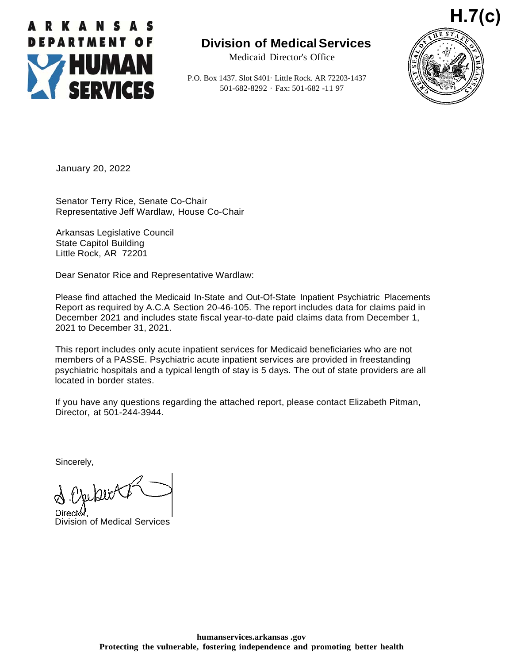

## **Division of MedicalServices**

Medicaid Director's Office

P.O. Box 1437. Slot S401· Little Rock. AR 72203-1437 501-682-8292 · Fax: 501-682 -11 97



January 20, 2022

Senator Terry Rice, Senate Co-Chair Representative Jeff Wardlaw, House Co-Chair

Arkansas Legislative Council State Capitol Building Little Rock, AR 72201

Dear Senator Rice and Representative Wardlaw:

Please find attached the Medicaid In-State and Out-Of-State Inpatient Psychiatric Placements Report as required by A.C.A Section 20-46-105. The report includes data for claims paid in December 2021 and includes state fiscal year-to-date paid claims data from December 1, 2021 to December 31, 2021.

This report includes only acute inpatient services for Medicaid beneficiaries who are not members of a PASSE. Psychiatric acute inpatient services are provided in freestanding psychiatric hospitals and a typical length of stay is 5 days. The out of state providers are all located in border states.

If you have any questions regarding the attached report, please contact Elizabeth Pitman, Director, at 501-244-3944.

Sincerely,

Director

Division of Medical Services